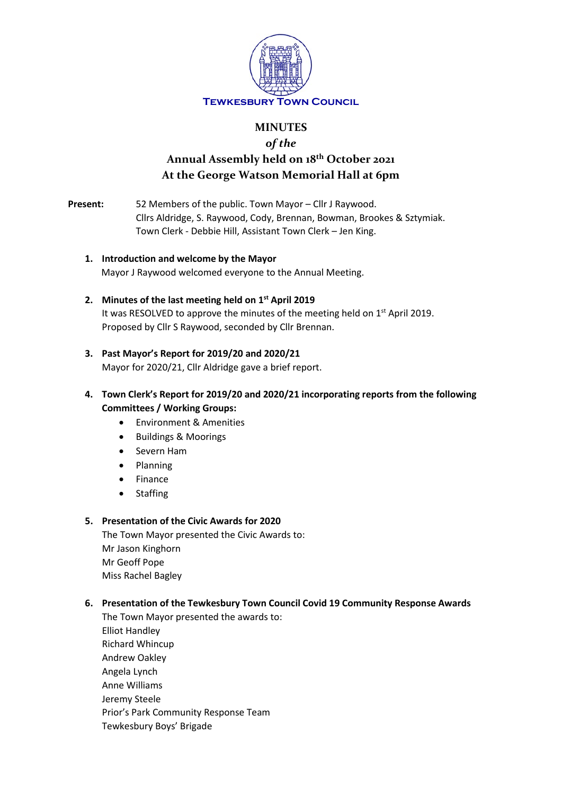

## **MINUTES**

# *of the* **Annual Assembly held on 18th October 2021 At the George Watson Memorial Hall at 6pm**

**Present:** 52 Members of the public. Town Mayor – Cllr J Raywood. Cllrs Aldridge, S. Raywood, Cody, Brennan, Bowman, Brookes & Sztymiak. Town Clerk - Debbie Hill, Assistant Town Clerk – Jen King.

- **1. Introduction and welcome by the Mayor** Mayor J Raywood welcomed everyone to the Annual Meeting.
- **2. Minutes of the last meeting held on 1st April 2019** It was RESOLVED to approve the minutes of the meeting held on 1<sup>st</sup> April 2019. Proposed by Cllr S Raywood, seconded by Cllr Brennan.

## **3. Past Mayor's Report for 2019/20 and 2020/21**

Mayor for 2020/21, Cllr Aldridge gave a brief report.

- **4. Town Clerk's Report for 2019/20 and 2020/21 incorporating reports from the following Committees / Working Groups:**
	- Environment & Amenities
	- Buildings & Moorings
	- Severn Ham
	- Planning
	- **Finance**
	- Staffing

#### **5. Presentation of the Civic Awards for 2020**

The Town Mayor presented the Civic Awards to: Mr Jason Kinghorn Mr Geoff Pope Miss Rachel Bagley

## **6. Presentation of the Tewkesbury Town Council Covid 19 Community Response Awards**

The Town Mayor presented the awards to: Elliot Handley Richard Whincup Andrew Oakley Angela Lynch Anne Williams Jeremy Steele Prior's Park Community Response Team Tewkesbury Boys' Brigade